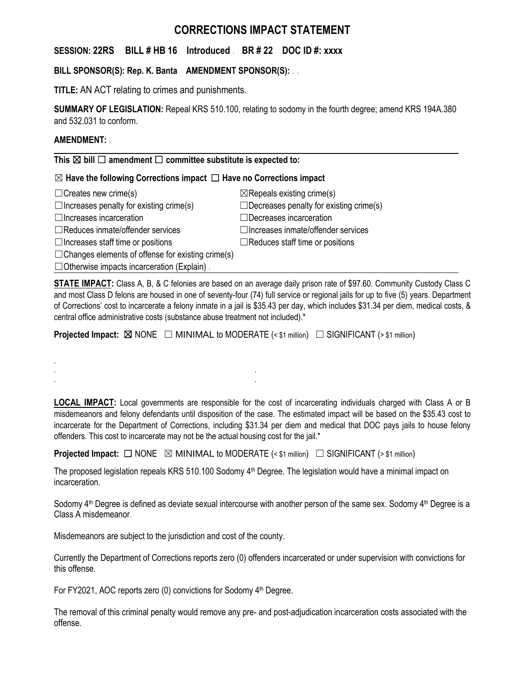# **CORRECTIONS IMPACT STATEMENT**

# **SESSION: 22RS BILL # HB 16 Introduced** . **BR # 22 DOC ID #: xxxx**

# **BILL SPONSOR(S): Rep. K. Banta AMENDMENT SPONSOR(S):** . .

**TITLE:** AN ACT relating to crimes and punishments.

**SUMMARY OF LEGISLATION:** Repeal KRS 510.100, relating to sodomy in the fourth degree; amend KRS 194A.380 and 532.031 to conform.

### **AMENDMENT:** .

.

**This** ☒ **bill** ☐ **amendment** ☐ **committee substitute is expected to:**

### ☒ **Have the following Corrections impact** ☐ **Have no Corrections impact**

| $\Box$ Creates new crime(s)                              | $\boxtimes$ Repeals existing crime(s)          |
|----------------------------------------------------------|------------------------------------------------|
| $\Box$ Increases penalty for existing crime(s)           | $\Box$ Decreases penalty for existing crime(s) |
| $\Box$ Increases incarceration                           | □Decreases incarceration                       |
| $\Box$ Reduces inmate/offender services                  | $\Box$ Increases inmate/offender services      |
| $\Box$ Increases staff time or positions                 | $\Box$ Reduces staff time or positions         |
| $\Box$ Changes elements of offense for existing crime(s) |                                                |
| $\Box$ Otherwise impacts incarceration (Explain).        |                                                |

**STATE IMPACT:** Class A, B, & C felonies are based on an average daily prison rate of \$97.60. Community Custody Class C and most Class D felons are housed in one of seventy-four (74) full service or regional jails for up to five (5) years. Department of Corrections' cost to incarcerate a felony inmate in a jail is \$35.43 per day, which includes \$31.34 per diem, medical costs, & central office administrative costs (substance abuse treatment not included).\*

**Projected Impact:** ⊠ NONE □ MINIMAL to MODERATE (< \$1 million) □ SIGNIFICANT (> \$1 million)

**LOCAL IMPACT:** Local governments are responsible for the cost of incarcerating individuals charged with Class A or B misdemeanors and felony defendants until disposition of the case. The estimated impact will be based on the \$35.43 cost to incarcerate for the Department of Corrections, including \$31.34 per diem and medical that DOC pays jails to house felony offenders. This cost to incarcerate may not be the actual housing cost for the jail.\*

**Projected Impact:**  $\Box$  NONE  $\boxtimes$  MINIMAL to MODERATE (< \$1 million)  $\Box$  SIGNIFICANT (> \$1 million)

The proposed legislation repeals KRS 510.100 Sodomy 4<sup>th</sup> Degree. The legislation would have a minimal impact on incarceration.

Sodomy  $4<sup>th</sup>$  Degree is defined as deviate sexual intercourse with another person of the same sex. Sodomy  $4<sup>th</sup>$  Degree is a Class A misdemeanor.

Misdemeanors are subject to the jurisdiction and cost of the county.

. . . .

Currently the Department of Corrections reports zero (0) offenders incarcerated or under supervision with convictions for this offense.

For FY2021, AOC reports zero (0) convictions for Sodomy 4<sup>th</sup> Degree.

The removal of this criminal penalty would remove any pre- and post-adjudication incarceration costs associated with the offense.